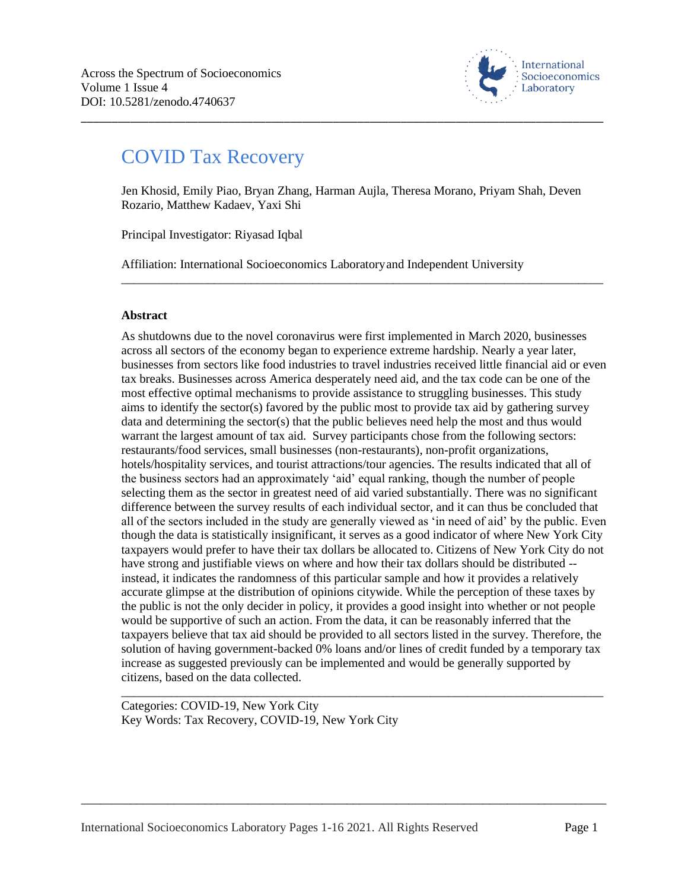

# COVID Tax Recovery

Jen Khosid, Emily Piao, Bryan Zhang, Harman Aujla, Theresa Morano, Priyam Shah, Deven Rozario, Matthew Kadaev, Yaxi Shi

\_\_\_\_\_\_\_\_\_\_\_\_\_\_\_\_\_\_\_\_\_\_\_\_\_\_\_\_\_\_\_\_\_\_\_\_\_\_\_\_\_\_\_\_\_\_\_\_\_\_\_\_\_\_\_\_\_\_\_\_\_\_\_\_\_\_\_\_\_\_\_\_\_\_\_\_\_\_

\_\_\_\_\_\_\_\_\_\_\_\_\_\_\_\_\_\_\_\_\_\_\_\_\_\_\_\_\_\_\_\_\_\_\_\_\_\_\_\_\_\_\_\_\_\_\_\_\_\_\_\_\_\_\_\_\_\_\_\_\_\_\_\_\_\_\_\_\_\_\_\_\_\_\_\_\_\_\_\_\_\_\_\_\_

Principal Investigator: Riyasad Iqbal

Affiliation: International Socioeconomics Laboratoryand Independent University

# **Abstract**

As shutdowns due to the novel coronavirus were first implemented in March 2020, businesses across all sectors of the economy began to experience extreme hardship. Nearly a year later, businesses from sectors like food industries to travel industries received little financial aid or even tax breaks. Businesses across America desperately need aid, and the tax code can be one of the most effective optimal mechanisms to provide assistance to struggling businesses. This study aims to identify the sector(s) favored by the public most to provide tax aid by gathering survey data and determining the sector(s) that the public believes need help the most and thus would warrant the largest amount of tax aid. Survey participants chose from the following sectors: restaurants/food services, small businesses (non-restaurants), non-profit organizations, hotels/hospitality services, and tourist attractions/tour agencies. The results indicated that all of the business sectors had an approximately 'aid' equal ranking, though the number of people selecting them as the sector in greatest need of aid varied substantially. There was no significant difference between the survey results of each individual sector, and it can thus be concluded that all of the sectors included in the study are generally viewed as 'in need of aid' by the public. Even though the data is statistically insignificant, it serves as a good indicator of where New York City taxpayers would prefer to have their tax dollars be allocated to. Citizens of New York City do not have strong and justifiable views on where and how their tax dollars should be distributed - instead, it indicates the randomness of this particular sample and how it provides a relatively accurate glimpse at the distribution of opinions citywide. While the perception of these taxes by the public is not the only decider in policy, it provides a good insight into whether or not people would be supportive of such an action. From the data, it can be reasonably inferred that the taxpayers believe that tax aid should be provided to all sectors listed in the survey. Therefore, the solution of having government-backed 0% loans and/or lines of credit funded by a temporary tax increase as suggested previously can be implemented and would be generally supported by citizens, based on the data collected.

Categories: COVID-19, New York City Key Words: Tax Recovery, COVID-19, New York City

\_\_\_\_\_\_\_\_\_\_\_\_\_\_\_\_\_\_\_\_\_\_\_\_\_\_\_\_\_\_\_\_\_\_\_\_\_\_\_\_\_\_\_\_\_\_\_\_\_\_\_\_\_\_\_\_\_\_\_\_\_\_\_\_\_\_\_\_\_\_\_\_\_\_\_\_\_\_\_\_\_\_\_\_\_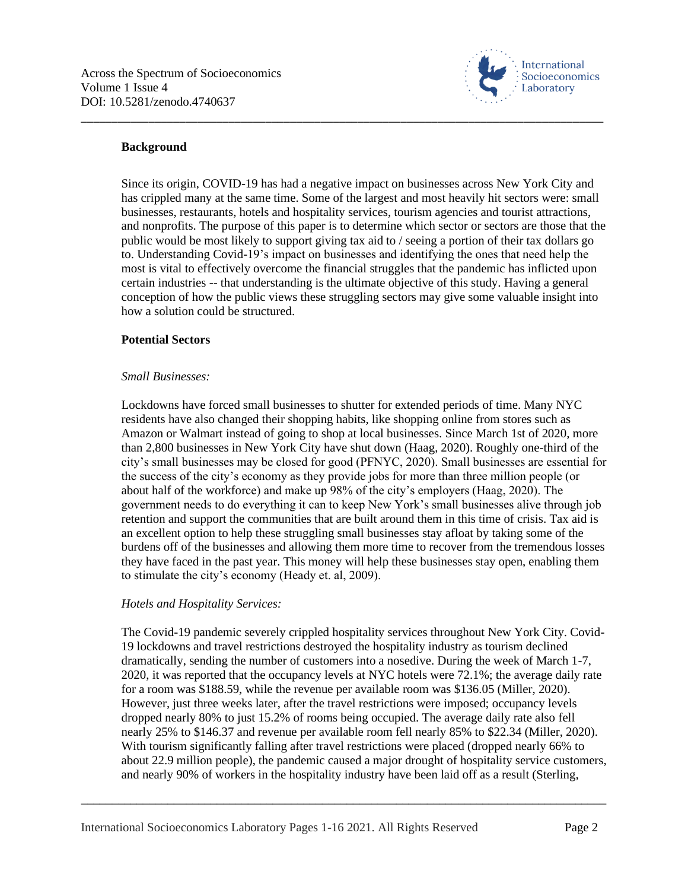

#### **Background**

Since its origin, COVID-19 has had a negative impact on businesses across New York City and has crippled many at the same time. Some of the largest and most heavily hit sectors were: small businesses, restaurants, hotels and hospitality services, tourism agencies and tourist attractions, and nonprofits. The purpose of this paper is to determine which sector or sectors are those that the public would be most likely to support giving tax aid to / seeing a portion of their tax dollars go to. Understanding Covid-19's impact on businesses and identifying the ones that need help the most is vital to effectively overcome the financial struggles that the pandemic has inflicted upon certain industries -- that understanding is the ultimate objective of this study. Having a general conception of how the public views these struggling sectors may give some valuable insight into how a solution could be structured.

\_\_\_\_\_\_\_\_\_\_\_\_\_\_\_\_\_\_\_\_\_\_\_\_\_\_\_\_\_\_\_\_\_\_\_\_\_\_\_\_\_\_\_\_\_\_\_\_\_\_\_\_\_\_\_\_\_\_\_\_\_\_\_\_\_\_\_\_\_\_\_\_\_\_\_\_\_\_\_\_\_\_\_\_\_

#### **Potential Sectors**

#### *Small Businesses:*

Lockdowns have forced small businesses to shutter for extended periods of time. Many NYC residents have also changed their shopping habits, like shopping online from stores such as Amazon or Walmart instead of going to shop at local businesses. Since March 1st of 2020, more than 2,800 businesses in New York City have shut down (Haag, 2020). Roughly one-third of the city's small businesses may be closed for good (PFNYC, 2020). Small businesses are essential for the success of the city's economy as they provide jobs for more than three million people (or about half of the workforce) and make up 98% of the city's employers (Haag, 2020). The government needs to do everything it can to keep New York's small businesses alive through job retention and support the communities that are built around them in this time of crisis. Tax aid is an excellent option to help these struggling small businesses stay afloat by taking some of the burdens off of the businesses and allowing them more time to recover from the tremendous losses they have faced in the past year. This money will help these businesses stay open, enabling them to stimulate the city's economy (Heady et. al, 2009).

## *Hotels and Hospitality Services:*

The Covid-19 pandemic severely crippled hospitality services throughout New York City. Covid-19 lockdowns and travel restrictions destroyed the hospitality industry as tourism declined dramatically, sending the number of customers into a nosedive. During the week of March 1-7, 2020, it was reported that the occupancy levels at NYC hotels were 72.1%; the average daily rate for a room was \$188.59, while the revenue per available room was \$136.05 (Miller, 2020). However, just three weeks later, after the travel restrictions were imposed; occupancy levels dropped nearly 80% to just 15.2% of rooms being occupied. The average daily rate also fell nearly 25% to \$146.37 and revenue per available room fell nearly 85% to \$22.34 (Miller, 2020). With tourism significantly falling after travel restrictions were placed (dropped nearly 66% to about 22.9 million people), the pandemic caused a major drought of hospitality service customers, and nearly 90% of workers in the hospitality industry have been laid off as a result (Sterling,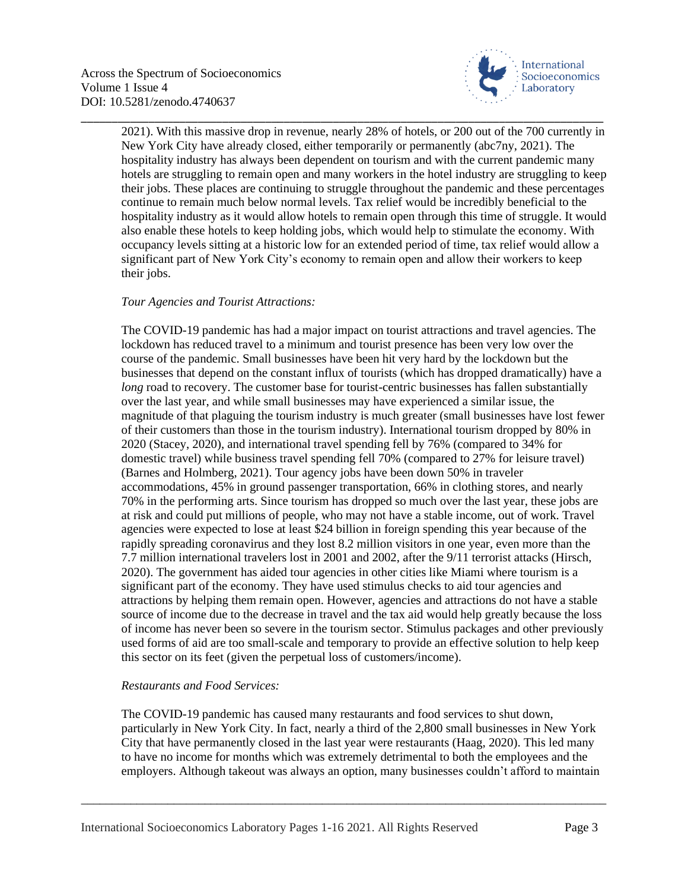

2021). With this massive drop in revenue, nearly 28% of hotels, or 200 out of the 700 currently in New York City have already closed, either temporarily or permanently (abc7ny, 2021). The hospitality industry has always been dependent on tourism and with the current pandemic many hotels are struggling to remain open and many workers in the hotel industry are struggling to keep their jobs. These places are continuing to struggle throughout the pandemic and these percentages continue to remain much below normal levels. Tax relief would be incredibly beneficial to the hospitality industry as it would allow hotels to remain open through this time of struggle. It would also enable these hotels to keep holding jobs, which would help to stimulate the economy. With occupancy levels sitting at a historic low for an extended period of time, tax relief would allow a significant part of New York City's economy to remain open and allow their workers to keep their jobs.

\_\_\_\_\_\_\_\_\_\_\_\_\_\_\_\_\_\_\_\_\_\_\_\_\_\_\_\_\_\_\_\_\_\_\_\_\_\_\_\_\_\_\_\_\_\_\_\_\_\_\_\_\_\_\_\_\_\_\_\_\_\_\_\_\_\_\_\_\_\_\_\_\_\_\_\_\_\_\_\_\_\_\_\_\_

# *Tour Agencies and Tourist Attractions:*

The COVID-19 pandemic has had a major impact on tourist attractions and travel agencies. The lockdown has reduced travel to a minimum and tourist presence has been very low over the course of the pandemic. Small businesses have been hit very hard by the lockdown but the businesses that depend on the constant influx of tourists (which has dropped dramatically) have a *long* road to recovery. The customer base for tourist-centric businesses has fallen substantially over the last year, and while small businesses may have experienced a similar issue, the magnitude of that plaguing the tourism industry is much greater (small businesses have lost fewer of their customers than those in the tourism industry). International tourism dropped by 80% in 2020 (Stacey, 2020), and international travel spending fell by 76% (compared to 34% for domestic travel) while business travel spending fell 70% (compared to 27% for leisure travel) (Barnes and Holmberg, 2021). Tour agency jobs have been down 50% in traveler accommodations, 45% in ground passenger transportation, 66% in clothing stores, and nearly 70% in the performing arts. Since tourism has dropped so much over the last year, these jobs are at risk and could put millions of people, who may not have a stable income, out of work. Travel agencies were expected to lose at least \$24 billion in foreign spending this year because of the rapidly spreading coronavirus and they lost 8.2 million visitors in one year, even more than the 7.7 million international travelers lost in 2001 and 2002, after the 9/11 terrorist attacks (Hirsch, 2020). The government has aided tour agencies in other cities like Miami where tourism is a significant part of the economy. They have used stimulus checks to aid tour agencies and attractions by helping them remain open. However, agencies and attractions do not have a stable source of income due to the decrease in travel and the tax aid would help greatly because the loss of income has never been so severe in the tourism sector. Stimulus packages and other previously used forms of aid are too small-scale and temporary to provide an effective solution to help keep this sector on its feet (given the perpetual loss of customers/income).

## *Restaurants and Food Services:*

The COVID-19 pandemic has caused many restaurants and food services to shut down, particularly in New York City. In fact, nearly a third of the 2,800 small businesses in New York City that have permanently closed in the last year were restaurants (Haag, 2020). This led many to have no income for months which was extremely detrimental to both the employees and the employers. Although takeout was always an option, many businesses couldn't afford to maintain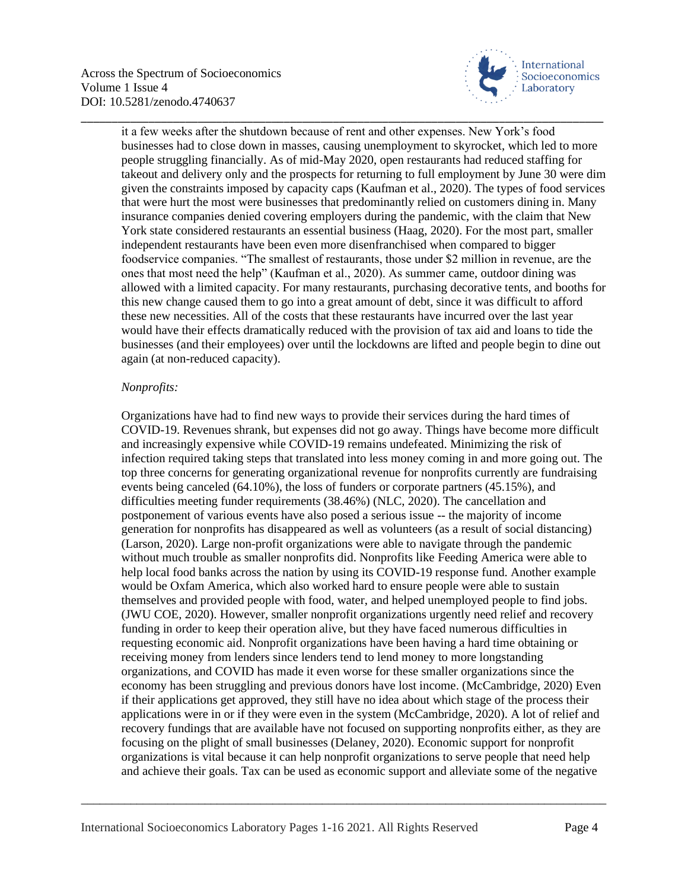

it a few weeks after the shutdown because of rent and other expenses. New York's food businesses had to close down in masses, causing unemployment to skyrocket, which led to more people struggling financially. As of mid-May 2020, open restaurants had reduced staffing for takeout and delivery only and the prospects for returning to full employment by June 30 were dim given the constraints imposed by capacity caps (Kaufman et al., 2020). The types of food services that were hurt the most were businesses that predominantly relied on customers dining in. Many insurance companies denied covering employers during the pandemic, with the claim that New York state considered restaurants an essential business (Haag, 2020). For the most part, smaller independent restaurants have been even more disenfranchised when compared to bigger foodservice companies. "The smallest of restaurants, those under \$2 million in revenue, are the ones that most need the help" (Kaufman et al., 2020). As summer came, outdoor dining was allowed with a limited capacity. For many restaurants, purchasing decorative tents, and booths for this new change caused them to go into a great amount of debt, since it was difficult to afford these new necessities. All of the costs that these restaurants have incurred over the last year would have their effects dramatically reduced with the provision of tax aid and loans to tide the businesses (and their employees) over until the lockdowns are lifted and people begin to dine out again (at non-reduced capacity).

\_\_\_\_\_\_\_\_\_\_\_\_\_\_\_\_\_\_\_\_\_\_\_\_\_\_\_\_\_\_\_\_\_\_\_\_\_\_\_\_\_\_\_\_\_\_\_\_\_\_\_\_\_\_\_\_\_\_\_\_\_\_\_\_\_\_\_\_\_\_\_\_\_\_\_\_\_\_\_\_\_\_\_\_\_

## *Nonprofits:*

Organizations have had to find new ways to provide their services during the hard times of COVID-19. Revenues shrank, but expenses did not go away. Things have become more difficult and increasingly expensive while COVID-19 remains undefeated. Minimizing the risk of infection required taking steps that translated into less money coming in and more going out. The top three concerns for generating organizational revenue for nonprofits currently are fundraising events being canceled (64.10%), the loss of funders or corporate partners (45.15%), and difficulties meeting funder requirements (38.46%) (NLC, 2020). The cancellation and postponement of various events have also posed a serious issue -- the majority of income generation for nonprofits has disappeared as well as volunteers (as a result of social distancing) (Larson, 2020). Large non-profit organizations were able to navigate through the pandemic without much trouble as smaller nonprofits did. Nonprofits like Feeding America were able to help local food banks across the nation by using its COVID-19 response fund. Another example would be Oxfam America, which also worked hard to ensure people were able to sustain themselves and provided people with food, water, and helped unemployed people to find jobs. (JWU COE, 2020). However, smaller nonprofit organizations urgently need relief and recovery funding in order to keep their operation alive, but they have faced numerous difficulties in requesting economic aid. Nonprofit organizations have been having a hard time obtaining or receiving money from lenders since lenders tend to lend money to more longstanding organizations, and COVID has made it even worse for these smaller organizations since the economy has been struggling and previous donors have lost income. (McCambridge, 2020) Even if their applications get approved, they still have no idea about which stage of the process their applications were in or if they were even in the system (McCambridge, 2020). A lot of relief and recovery fundings that are available have not focused on supporting nonprofits either, as they are focusing on the plight of small businesses (Delaney, 2020). Economic support for nonprofit organizations is vital because it can help nonprofit organizations to serve people that need help and achieve their goals. Tax can be used as economic support and alleviate some of the negative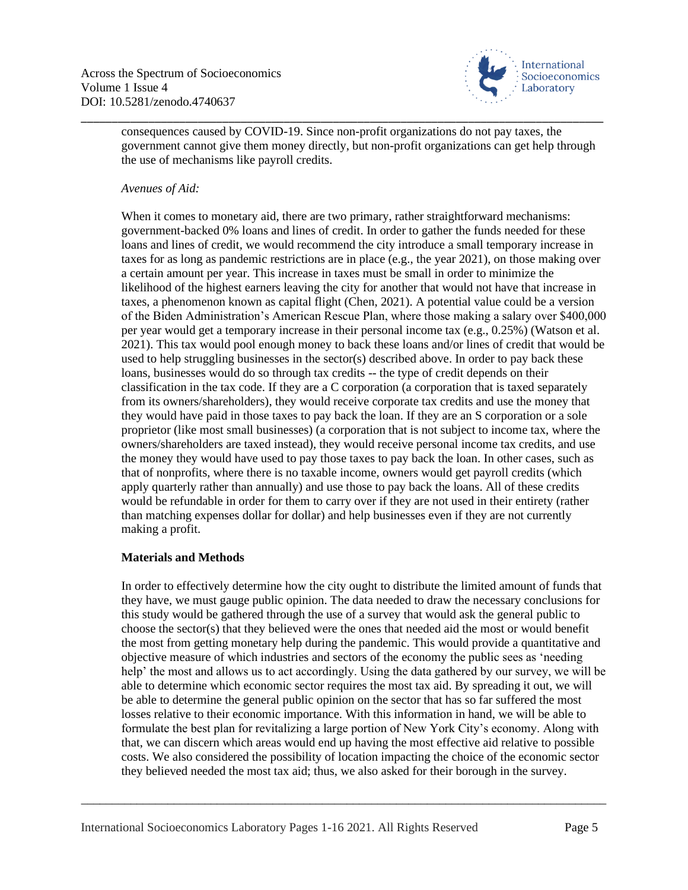

consequences caused by COVID-19. Since non-profit organizations do not pay taxes, the government cannot give them money directly, but non-profit organizations can get help through the use of mechanisms like payroll credits.

\_\_\_\_\_\_\_\_\_\_\_\_\_\_\_\_\_\_\_\_\_\_\_\_\_\_\_\_\_\_\_\_\_\_\_\_\_\_\_\_\_\_\_\_\_\_\_\_\_\_\_\_\_\_\_\_\_\_\_\_\_\_\_\_\_\_\_\_\_\_\_\_\_\_\_\_\_\_\_\_\_\_\_\_\_

## *Avenues of Aid:*

When it comes to monetary aid, there are two primary, rather straightforward mechanisms: government-backed 0% loans and lines of credit. In order to gather the funds needed for these loans and lines of credit, we would recommend the city introduce a small temporary increase in taxes for as long as pandemic restrictions are in place (e.g., the year 2021), on those making over a certain amount per year. This increase in taxes must be small in order to minimize the likelihood of the highest earners leaving the city for another that would not have that increase in taxes, a phenomenon known as capital flight (Chen, 2021). A potential value could be a version of the Biden Administration's American Rescue Plan, where those making a salary over \$400,000 per year would get a temporary increase in their personal income tax (e.g., 0.25%) (Watson et al. 2021). This tax would pool enough money to back these loans and/or lines of credit that would be used to help struggling businesses in the sector(s) described above. In order to pay back these loans, businesses would do so through tax credits -- the type of credit depends on their classification in the tax code. If they are a C corporation (a corporation that is taxed separately from its owners/shareholders), they would receive corporate tax credits and use the money that they would have paid in those taxes to pay back the loan. If they are an S corporation or a sole proprietor (like most small businesses) (a corporation that is not subject to income tax, where the owners/shareholders are taxed instead), they would receive personal income tax credits, and use the money they would have used to pay those taxes to pay back the loan. In other cases, such as that of nonprofits, where there is no taxable income, owners would get payroll credits (which apply quarterly rather than annually) and use those to pay back the loans. All of these credits would be refundable in order for them to carry over if they are not used in their entirety (rather than matching expenses dollar for dollar) and help businesses even if they are not currently making a profit.

## **Materials and Methods**

In order to effectively determine how the city ought to distribute the limited amount of funds that they have, we must gauge public opinion. The data needed to draw the necessary conclusions for this study would be gathered through the use of a survey that would ask the general public to choose the sector(s) that they believed were the ones that needed aid the most or would benefit the most from getting monetary help during the pandemic. This would provide a quantitative and objective measure of which industries and sectors of the economy the public sees as 'needing help' the most and allows us to act accordingly. Using the data gathered by our survey, we will be able to determine which economic sector requires the most tax aid. By spreading it out, we will be able to determine the general public opinion on the sector that has so far suffered the most losses relative to their economic importance. With this information in hand, we will be able to formulate the best plan for revitalizing a large portion of New York City's economy. Along with that, we can discern which areas would end up having the most effective aid relative to possible costs. We also considered the possibility of location impacting the choice of the economic sector they believed needed the most tax aid; thus, we also asked for their borough in the survey.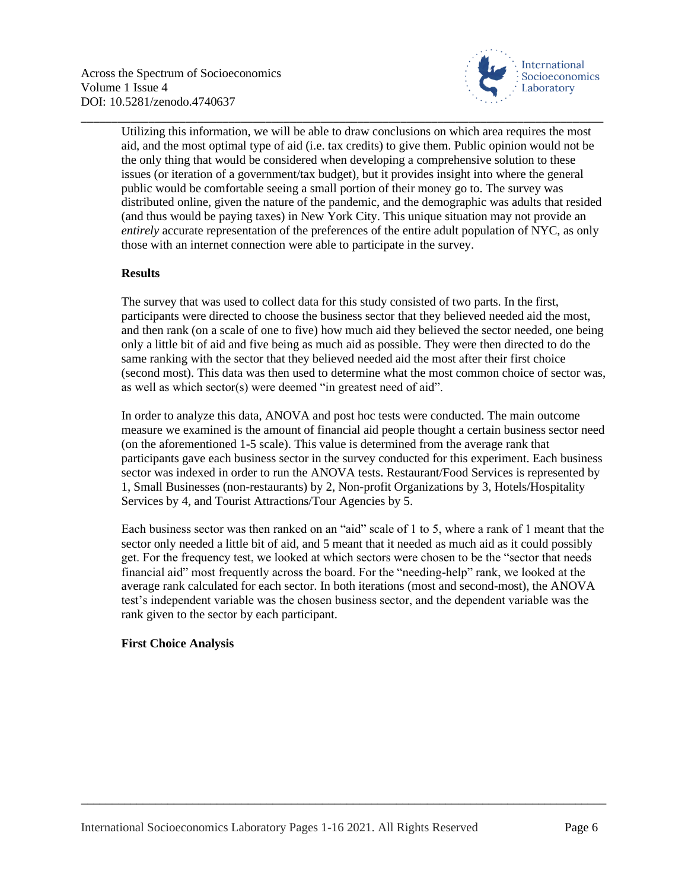

Utilizing this information, we will be able to draw conclusions on which area requires the most aid, and the most optimal type of aid (i.e. tax credits) to give them. Public opinion would not be the only thing that would be considered when developing a comprehensive solution to these issues (or iteration of a government/tax budget), but it provides insight into where the general public would be comfortable seeing a small portion of their money go to. The survey was distributed online, given the nature of the pandemic, and the demographic was adults that resided (and thus would be paying taxes) in New York City. This unique situation may not provide an *entirely* accurate representation of the preferences of the entire adult population of NYC, as only those with an internet connection were able to participate in the survey.

\_\_\_\_\_\_\_\_\_\_\_\_\_\_\_\_\_\_\_\_\_\_\_\_\_\_\_\_\_\_\_\_\_\_\_\_\_\_\_\_\_\_\_\_\_\_\_\_\_\_\_\_\_\_\_\_\_\_\_\_\_\_\_\_\_\_\_\_\_\_\_\_\_\_\_\_\_\_\_\_\_\_\_\_\_

## **Results**

The survey that was used to collect data for this study consisted of two parts. In the first, participants were directed to choose the business sector that they believed needed aid the most, and then rank (on a scale of one to five) how much aid they believed the sector needed, one being only a little bit of aid and five being as much aid as possible. They were then directed to do the same ranking with the sector that they believed needed aid the most after their first choice (second most). This data was then used to determine what the most common choice of sector was, as well as which sector(s) were deemed "in greatest need of aid".

In order to analyze this data, ANOVA and post hoc tests were conducted. The main outcome measure we examined is the amount of financial aid people thought a certain business sector need (on the aforementioned 1-5 scale). This value is determined from the average rank that participants gave each business sector in the survey conducted for this experiment. Each business sector was indexed in order to run the ANOVA tests. Restaurant/Food Services is represented by 1, Small Businesses (non-restaurants) by 2, Non-profit Organizations by 3, Hotels/Hospitality Services by 4, and Tourist Attractions/Tour Agencies by 5.

Each business sector was then ranked on an "aid" scale of 1 to 5, where a rank of 1 meant that the sector only needed a little bit of aid, and 5 meant that it needed as much aid as it could possibly get. For the frequency test, we looked at which sectors were chosen to be the "sector that needs financial aid" most frequently across the board. For the "needing-help" rank, we looked at the average rank calculated for each sector. In both iterations (most and second-most), the ANOVA test's independent variable was the chosen business sector, and the dependent variable was the rank given to the sector by each participant.

\_\_\_\_\_\_\_\_\_\_\_\_\_\_\_\_\_\_\_\_\_\_\_\_\_\_\_\_\_\_\_\_\_\_\_\_\_\_\_\_\_\_\_\_\_\_\_\_\_\_\_\_\_\_\_\_\_\_\_\_\_\_\_\_\_\_\_\_\_\_\_\_\_\_\_\_\_\_\_\_\_\_\_\_\_

# **First Choice Analysis**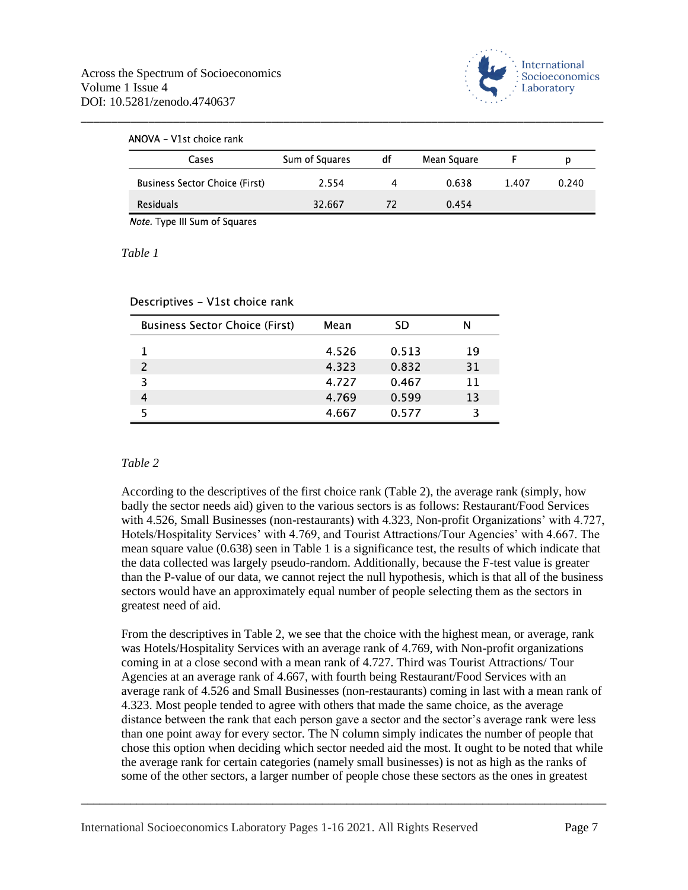

| ANOVA – V1st choice rank<br>Cases     | Sum of Squares | df | Mean Square |       | р     |
|---------------------------------------|----------------|----|-------------|-------|-------|
| <b>Business Sector Choice (First)</b> | 2.554          | 4  | 0.638       | 1.407 | 0.240 |
| Residuals                             | 32.667         | 72 | 0.454       |       |       |

Note. Type III Sum of Squares

#### *Table 1*

Descriptives - V1st choice rank

| <b>Business Sector Choice (First)</b> | Mean  | SD    | N  |
|---------------------------------------|-------|-------|----|
|                                       | 4.526 | 0.513 | 19 |
|                                       | 4.323 | 0.832 | 31 |
|                                       | 4.727 | 0.467 | 11 |
|                                       | 4.769 | 0.599 | 13 |
|                                       | 4.667 | 0.577 | З  |

## *Table 2*

According to the descriptives of the first choice rank (Table 2), the average rank (simply, how badly the sector needs aid) given to the various sectors is as follows: Restaurant/Food Services with 4.526, Small Businesses (non-restaurants) with 4.323, Non-profit Organizations' with 4.727, Hotels/Hospitality Services' with 4.769, and Tourist Attractions/Tour Agencies' with 4.667. The mean square value (0.638) seen in Table 1 is a significance test, the results of which indicate that the data collected was largely pseudo-random. Additionally, because the F-test value is greater than the P-value of our data, we cannot reject the null hypothesis, which is that all of the business sectors would have an approximately equal number of people selecting them as the sectors in greatest need of aid.

From the descriptives in Table 2, we see that the choice with the highest mean, or average, rank was Hotels/Hospitality Services with an average rank of 4.769, with Non-profit organizations coming in at a close second with a mean rank of 4.727. Third was Tourist Attractions/ Tour Agencies at an average rank of 4.667, with fourth being Restaurant/Food Services with an average rank of 4.526 and Small Businesses (non-restaurants) coming in last with a mean rank of 4.323. Most people tended to agree with others that made the same choice, as the average distance between the rank that each person gave a sector and the sector's average rank were less than one point away for every sector. The N column simply indicates the number of people that chose this option when deciding which sector needed aid the most. It ought to be noted that while the average rank for certain categories (namely small businesses) is not as high as the ranks of some of the other sectors, a larger number of people chose these sectors as the ones in greatest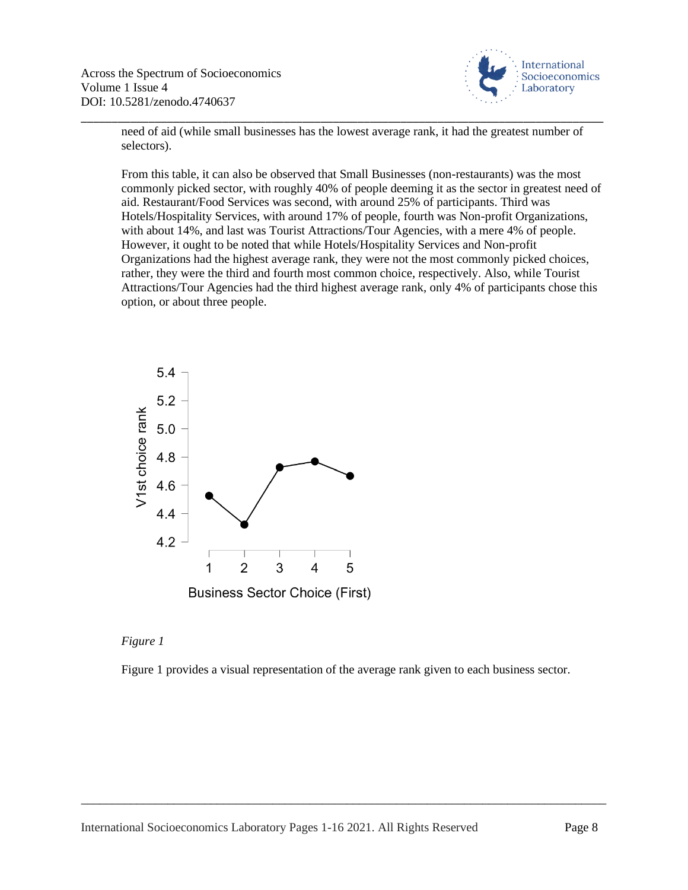

need of aid (while small businesses has the lowest average rank, it had the greatest number of selectors).

\_\_\_\_\_\_\_\_\_\_\_\_\_\_\_\_\_\_\_\_\_\_\_\_\_\_\_\_\_\_\_\_\_\_\_\_\_\_\_\_\_\_\_\_\_\_\_\_\_\_\_\_\_\_\_\_\_\_\_\_\_\_\_\_\_\_\_\_\_\_\_\_\_\_\_\_\_\_\_\_\_\_\_\_\_

From this table, it can also be observed that Small Businesses (non-restaurants) was the most commonly picked sector, with roughly 40% of people deeming it as the sector in greatest need of aid. Restaurant/Food Services was second, with around 25% of participants. Third was Hotels/Hospitality Services, with around 17% of people, fourth was Non-profit Organizations, with about 14%, and last was Tourist Attractions/Tour Agencies, with a mere 4% of people. However, it ought to be noted that while Hotels/Hospitality Services and Non-profit Organizations had the highest average rank, they were not the most commonly picked choices, rather, they were the third and fourth most common choice, respectively. Also, while Tourist Attractions/Tour Agencies had the third highest average rank, only 4% of participants chose this option, or about three people.



#### *Figure 1*

Figure 1 provides a visual representation of the average rank given to each business sector.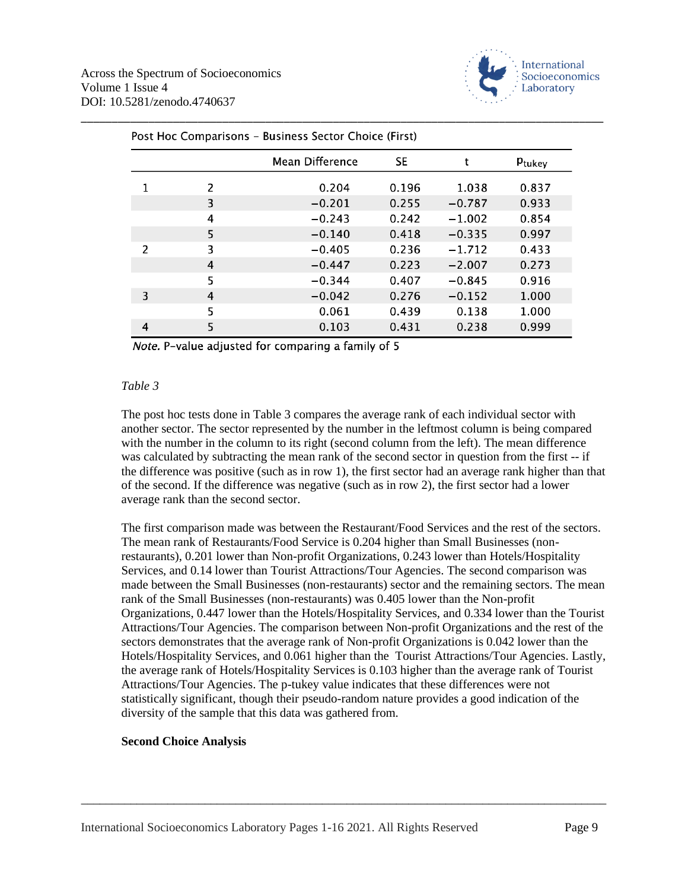

| Post Hoc Comparisons - Business Sector Choice (First) |   |                 |       |          |        |
|-------------------------------------------------------|---|-----------------|-------|----------|--------|
|                                                       |   | Mean Difference | SE.   |          | Ptukey |
| 1                                                     | 2 | 0.204           | 0.196 | 1.038    | 0.837  |
|                                                       | 3 | $-0.201$        | 0.255 | $-0.787$ | 0.933  |
|                                                       | 4 | $-0.243$        | 0.242 | $-1.002$ | 0.854  |
|                                                       | 5 | $-0.140$        | 0.418 | $-0.335$ | 0.997  |
| 2                                                     | 3 | $-0.405$        | 0.236 | $-1.712$ | 0.433  |
|                                                       | 4 | $-0.447$        | 0.223 | $-2.007$ | 0.273  |
|                                                       | 5 | $-0.344$        | 0.407 | $-0.845$ | 0.916  |
| 3                                                     | 4 | $-0.042$        | 0.276 | $-0.152$ | 1.000  |
|                                                       | 5 | 0.061           | 0.439 | 0.138    | 1.000  |
| 4                                                     | 5 | 0.103           | 0.431 | 0.238    | 0.999  |

Note. P-value adjusted for comparing a family of 5

# *Table 3*

The post hoc tests done in Table 3 compares the average rank of each individual sector with another sector. The sector represented by the number in the leftmost column is being compared with the number in the column to its right (second column from the left). The mean difference was calculated by subtracting the mean rank of the second sector in question from the first -- if the difference was positive (such as in row 1), the first sector had an average rank higher than that of the second. If the difference was negative (such as in row 2), the first sector had a lower average rank than the second sector.

The first comparison made was between the Restaurant/Food Services and the rest of the sectors. The mean rank of Restaurants/Food Service is 0.204 higher than Small Businesses (nonrestaurants), 0.201 lower than Non-profit Organizations, 0.243 lower than Hotels/Hospitality Services, and 0.14 lower than Tourist Attractions/Tour Agencies. The second comparison was made between the Small Businesses (non-restaurants) sector and the remaining sectors. The mean rank of the Small Businesses (non-restaurants) was 0.405 lower than the Non-profit Organizations, 0.447 lower than the Hotels/Hospitality Services, and 0.334 lower than the Tourist Attractions/Tour Agencies. The comparison between Non-profit Organizations and the rest of the sectors demonstrates that the average rank of Non-profit Organizations is 0.042 lower than the Hotels/Hospitality Services, and 0.061 higher than the Tourist Attractions/Tour Agencies. Lastly, the average rank of Hotels/Hospitality Services is 0.103 higher than the average rank of Tourist Attractions/Tour Agencies. The p-tukey value indicates that these differences were not statistically significant, though their pseudo-random nature provides a good indication of the diversity of the sample that this data was gathered from.

\_\_\_\_\_\_\_\_\_\_\_\_\_\_\_\_\_\_\_\_\_\_\_\_\_\_\_\_\_\_\_\_\_\_\_\_\_\_\_\_\_\_\_\_\_\_\_\_\_\_\_\_\_\_\_\_\_\_\_\_\_\_\_\_\_\_\_\_\_\_\_\_\_\_\_\_\_\_\_\_\_\_\_\_\_

## **Second Choice Analysis**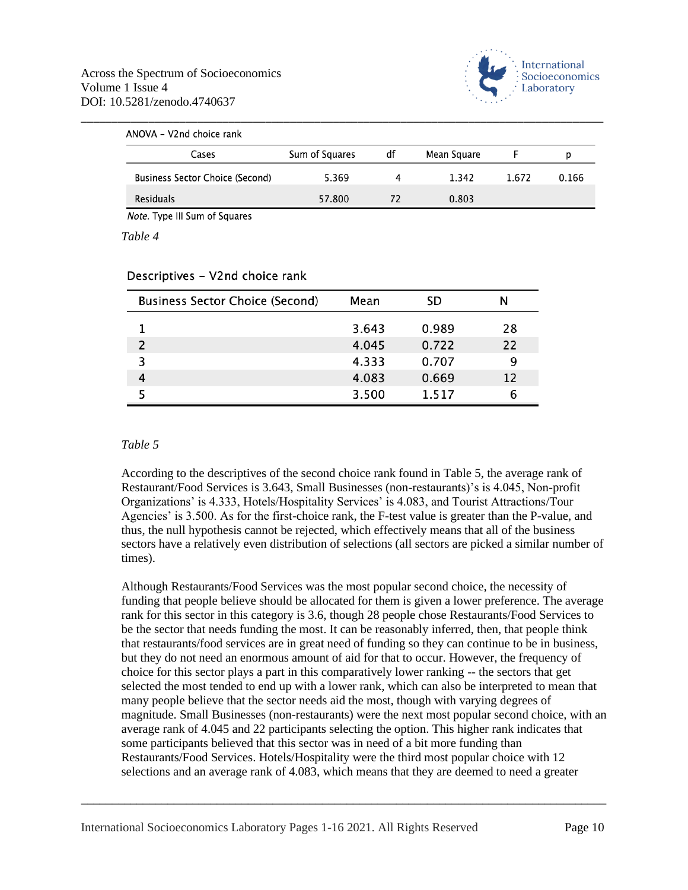

| ANOVA - V2nd choice rank               |                |    |             |       |       |
|----------------------------------------|----------------|----|-------------|-------|-------|
| Cases                                  | Sum of Squares | df | Mean Square |       | p     |
| <b>Business Sector Choice (Second)</b> | 5.369          |    | 1.342       | 1.672 | 0.166 |
| <b>Residuals</b>                       | 57.800         | 72 | 0.803       |       |       |

Note. Type III Sum of Squares

*Table 4*

| <b>Business Sector Choice (Second)</b> | Mean  | SD    |    |
|----------------------------------------|-------|-------|----|
|                                        | 3.643 | 0.989 | 28 |
|                                        | 4.045 | 0.722 | 22 |
| 3                                      | 4.333 | 0.707 | 9  |
| 4                                      | 4.083 | 0.669 | 12 |
|                                        | 3.500 | 1.517 | 6  |

#### Descriptives - V2nd choice rank

#### *Table 5*

According to the descriptives of the second choice rank found in Table 5, the average rank of Restaurant/Food Services is 3.643, Small Businesses (non-restaurants)'s is 4.045, Non-profit Organizations' is 4.333, Hotels/Hospitality Services' is 4.083, and Tourist Attractions/Tour Agencies' is 3.500. As for the first-choice rank, the F-test value is greater than the P-value, and thus, the null hypothesis cannot be rejected, which effectively means that all of the business sectors have a relatively even distribution of selections (all sectors are picked a similar number of times).

Although Restaurants/Food Services was the most popular second choice, the necessity of funding that people believe should be allocated for them is given a lower preference. The average rank for this sector in this category is 3.6, though 28 people chose Restaurants/Food Services to be the sector that needs funding the most. It can be reasonably inferred, then, that people think that restaurants/food services are in great need of funding so they can continue to be in business, but they do not need an enormous amount of aid for that to occur. However, the frequency of choice for this sector plays a part in this comparatively lower ranking -- the sectors that get selected the most tended to end up with a lower rank, which can also be interpreted to mean that many people believe that the sector needs aid the most, though with varying degrees of magnitude. Small Businesses (non-restaurants) were the next most popular second choice, with an average rank of 4.045 and 22 participants selecting the option. This higher rank indicates that some participants believed that this sector was in need of a bit more funding than Restaurants/Food Services. Hotels/Hospitality were the third most popular choice with 12 selections and an average rank of 4.083, which means that they are deemed to need a greater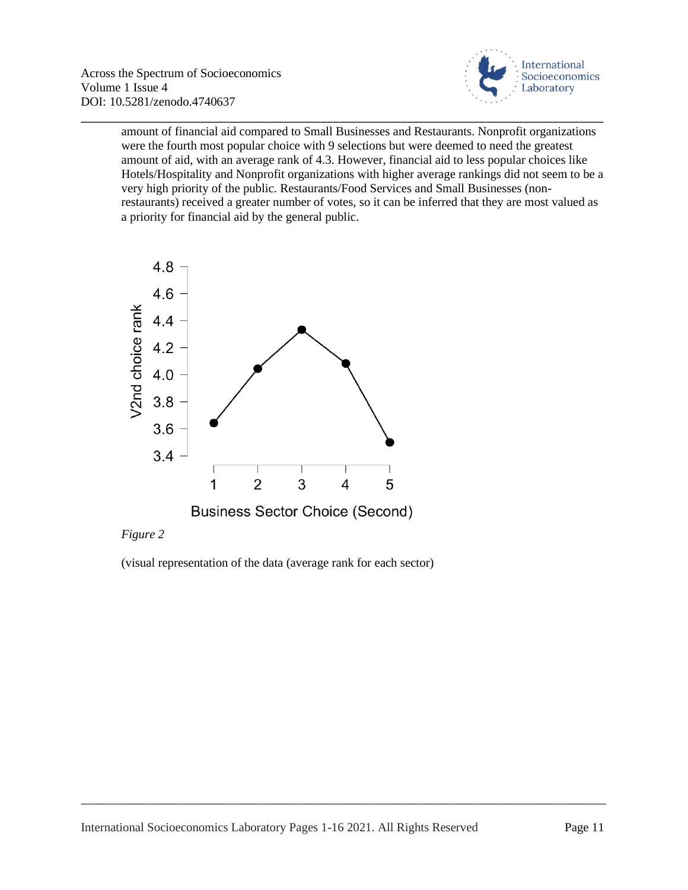

amount of financial aid compared to Small Businesses and Restaurants. Nonprofit organizations were the fourth most popular choice with 9 selections but were deemed to need the greatest amount of aid, with an average rank of 4.3. However, financial aid to less popular choices like Hotels/Hospitality and Nonprofit organizations with higher average rankings did not seem to be a very high priority of the public. Restaurants/Food Services and Small Businesses (nonrestaurants) received a greater number of votes, so it can be inferred that they are most valued as a priority for financial aid by the general public.

\_\_\_\_\_\_\_\_\_\_\_\_\_\_\_\_\_\_\_\_\_\_\_\_\_\_\_\_\_\_\_\_\_\_\_\_\_\_\_\_\_\_\_\_\_\_\_\_\_\_\_\_\_\_\_\_\_\_\_\_\_\_\_\_\_\_\_\_\_\_\_\_\_\_\_\_\_\_\_\_\_\_\_\_\_



# *Figure 2*

(visual representation of the data (average rank for each sector)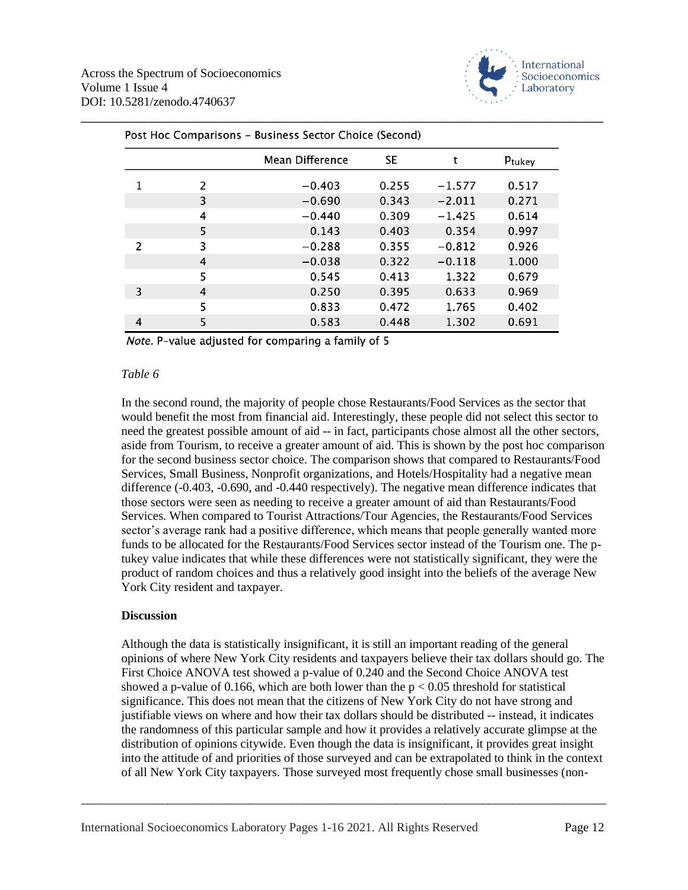

|   |   | Mean Difference | SE    | t        | Ptukey |
|---|---|-----------------|-------|----------|--------|
|   | 2 | $-0.403$        | 0.255 | $-1.577$ | 0.517  |
|   | 3 | $-0.690$        | 0.343 | $-2.011$ | 0.271  |
|   | 4 | $-0.440$        | 0.309 | $-1.425$ | 0.614  |
|   | 5 | 0.143           | 0.403 | 0.354    | 0.997  |
| 2 | 3 | $-0.288$        | 0.355 | $-0.812$ | 0.926  |
|   | 4 | $-0.038$        | 0.322 | $-0.118$ | 1.000  |
|   | 5 | 0.545           | 0.413 | 1.322    | 0.679  |
| 3 | 4 | 0.250           | 0.395 | 0.633    | 0.969  |
|   | 5 | 0.833           | 0.472 | 1.765    | 0.402  |
| 4 | 5 | 0.583           | 0.448 | 1.302    | 0.691  |

#### **Pucinoss Soctor Choice (Second)**  $\mathsf{R}_{\mathsf{out}}$  lies  $\mathsf{C}_{\mathsf{out}}$  is a discussion

Note. P-value adjusted for comparing a family of 5

#### *Table 6*

In the second round, the majority of people chose Restaurants/Food Services as the sector that would benefit the most from financial aid. Interestingly, these people did not select this sector to need the greatest possible amount of aid -- in fact, participants chose almost all the other sectors, aside from Tourism, to receive a greater amount of aid. This is shown by the post hoc comparison for the second business sector choice. The comparison shows that compared to Restaurants/Food Services, Small Business, Nonprofit organizations, and Hotels/Hospitality had a negative mean difference (-0.403, -0.690, and -0.440 respectively). The negative mean difference indicates that those sectors were seen as needing to receive a greater amount of aid than Restaurants/Food Services. When compared to Tourist Attractions/Tour Agencies, the Restaurants/Food Services sector's average rank had a positive difference, which means that people generally wanted more funds to be allocated for the Restaurants/Food Services sector instead of the Tourism one. The ptukey value indicates that while these differences were not statistically significant, they were the product of random choices and thus a relatively good insight into the beliefs of the average New York City resident and taxpayer.

#### **Discussion**

Although the data is statistically insignificant, it is still an important reading of the general opinions of where New York City residents and taxpayers believe their tax dollars should go. The First Choice ANOVA test showed a p-value of 0.240 and the Second Choice ANOVA test showed a p-value of 0.166, which are both lower than the  $p < 0.05$  threshold for statistical significance. This does not mean that the citizens of New York City do not have strong and justifiable views on where and how their tax dollars should be distributed -- instead, it indicates the randomness of this particular sample and how it provides a relatively accurate glimpse at the distribution of opinions citywide. Even though the data is insignificant, it provides great insight into the attitude of and priorities of those surveyed and can be extrapolated to think in the context of all New York City taxpayers. Those surveyed most frequently chose small businesses (non-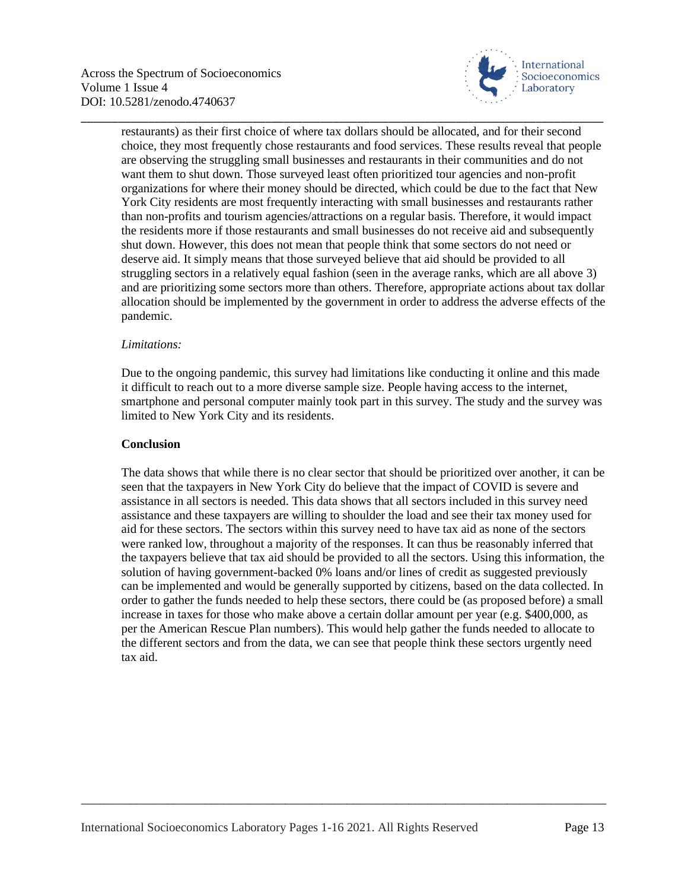

restaurants) as their first choice of where tax dollars should be allocated, and for their second choice, they most frequently chose restaurants and food services. These results reveal that people are observing the struggling small businesses and restaurants in their communities and do not want them to shut down. Those surveyed least often prioritized tour agencies and non-profit organizations for where their money should be directed, which could be due to the fact that New York City residents are most frequently interacting with small businesses and restaurants rather than non-profits and tourism agencies/attractions on a regular basis. Therefore, it would impact the residents more if those restaurants and small businesses do not receive aid and subsequently shut down. However, this does not mean that people think that some sectors do not need or deserve aid. It simply means that those surveyed believe that aid should be provided to all struggling sectors in a relatively equal fashion (seen in the average ranks, which are all above 3) and are prioritizing some sectors more than others. Therefore, appropriate actions about tax dollar allocation should be implemented by the government in order to address the adverse effects of the pandemic.

\_\_\_\_\_\_\_\_\_\_\_\_\_\_\_\_\_\_\_\_\_\_\_\_\_\_\_\_\_\_\_\_\_\_\_\_\_\_\_\_\_\_\_\_\_\_\_\_\_\_\_\_\_\_\_\_\_\_\_\_\_\_\_\_\_\_\_\_\_\_\_\_\_\_\_\_\_\_\_\_\_\_\_\_\_

## *Limitations:*

Due to the ongoing pandemic, this survey had limitations like conducting it online and this made it difficult to reach out to a more diverse sample size. People having access to the internet, smartphone and personal computer mainly took part in this survey. The study and the survey was limited to New York City and its residents.

# **Conclusion**

The data shows that while there is no clear sector that should be prioritized over another, it can be seen that the taxpayers in New York City do believe that the impact of COVID is severe and assistance in all sectors is needed. This data shows that all sectors included in this survey need assistance and these taxpayers are willing to shoulder the load and see their tax money used for aid for these sectors. The sectors within this survey need to have tax aid as none of the sectors were ranked low, throughout a majority of the responses. It can thus be reasonably inferred that the taxpayers believe that tax aid should be provided to all the sectors. Using this information, the solution of having government-backed 0% loans and/or lines of credit as suggested previously can be implemented and would be generally supported by citizens, based on the data collected. In order to gather the funds needed to help these sectors, there could be (as proposed before) a small increase in taxes for those who make above a certain dollar amount per year (e.g. \$400,000, as per the American Rescue Plan numbers). This would help gather the funds needed to allocate to the different sectors and from the data, we can see that people think these sectors urgently need tax aid.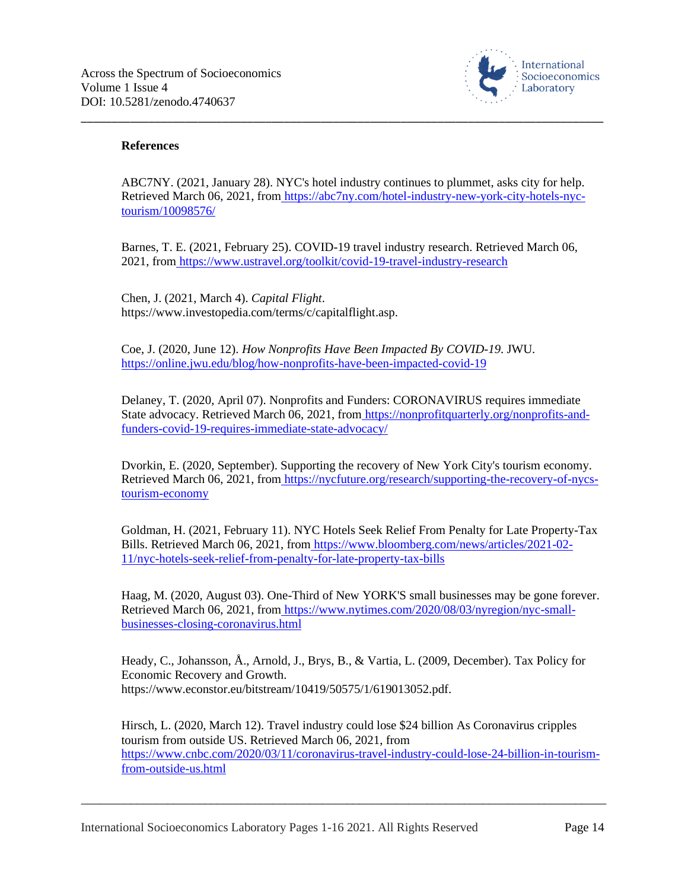

## **References**

ABC7NY. (2021, January 28). NYC's hotel industry continues to plummet, asks city for help. Retrieved March 06, 2021, from [https://abc7ny.com/hotel-industry-new-york-city-hotels-nyc](https://abc7ny.com/hotel-industry-new-york-city-hotels-nyc-tourism/10098576/)[tourism/10098576/](https://abc7ny.com/hotel-industry-new-york-city-hotels-nyc-tourism/10098576/)

\_\_\_\_\_\_\_\_\_\_\_\_\_\_\_\_\_\_\_\_\_\_\_\_\_\_\_\_\_\_\_\_\_\_\_\_\_\_\_\_\_\_\_\_\_\_\_\_\_\_\_\_\_\_\_\_\_\_\_\_\_\_\_\_\_\_\_\_\_\_\_\_\_\_\_\_\_\_\_\_\_\_\_\_\_

Barnes, T. E. (2021, February 25). COVID-19 travel industry research. Retrieved March 06, 2021, from <https://www.ustravel.org/toolkit/covid-19-travel-industry-research>

Chen, J. (2021, March 4). *Capital Flight*. https://www.investopedia.com/terms/c/capitalflight.asp.

Coe, J. (2020, June 12). *How Nonprofits Have Been Impacted By COVID-19*. JWU[.](https://online.jwu.edu/blog/how-nonprofits-have-been-impacted-covid-19) <https://online.jwu.edu/blog/how-nonprofits-have-been-impacted-covid-19>

Delaney, T. (2020, April 07). Nonprofits and Funders: CORONAVIRUS requires immediate State advocacy. Retrieved March 06, 2021, from [https://nonprofitquarterly.org/nonprofits-and](https://nonprofitquarterly.org/nonprofits-and-funders-covid-19-requires-immediate-state-advocacy/)[funders-covid-19-requires-immediate-state-advocacy/](https://nonprofitquarterly.org/nonprofits-and-funders-covid-19-requires-immediate-state-advocacy/)

Dvorkin, E. (2020, September). Supporting the recovery of New York City's tourism economy. Retrieved March 06, 2021, from [https://nycfuture.org/research/supporting-the-recovery-of-nycs](https://nycfuture.org/research/supporting-the-recovery-of-nycs-tourism-economy)[tourism-economy](https://nycfuture.org/research/supporting-the-recovery-of-nycs-tourism-economy)

Goldman, H. (2021, February 11). NYC Hotels Seek Relief From Penalty for Late Property-Tax Bills. Retrieved March 06, 2021, from [https://www.bloomberg.com/news/articles/2021-02-](https://www.bloomberg.com/news/articles/2021-02-11/nyc-hotels-seek-relief-from-penalty-for-late-property-tax-bills) [11/nyc-hotels-seek-relief-from-penalty-for-late-property-tax-bills](https://www.bloomberg.com/news/articles/2021-02-11/nyc-hotels-seek-relief-from-penalty-for-late-property-tax-bills)

Haag, M. (2020, August 03). One-Third of New YORK'S small businesses may be gone forever. Retrieved March 06, 2021, from [https://www.nytimes.com/2020/08/03/nyregion/nyc-small](https://www.nytimes.com/2020/08/03/nyregion/nyc-small-businesses-closing-coronavirus.html)[businesses-closing-coronavirus.html](https://www.nytimes.com/2020/08/03/nyregion/nyc-small-businesses-closing-coronavirus.html)

Heady, C., Johansson, Å., Arnold, J., Brys, B., & Vartia, L. (2009, December). Tax Policy for Economic Recovery and Growth. https://www.econstor.eu/bitstream/10419/50575/1/619013052.pdf.

Hirsch, L. (2020, March 12). Travel industry could lose \$24 billion As Coronavirus cripples tourism from outside US. Retrieved March 06, 2021, fro[m](https://www.cnbc.com/2020/03/11/coronavirus-travel-industry-could-lose-24-billion-in-tourism-from-outside-us.html) [https://www.cnbc.com/2020/03/11/coronavirus-travel-industry-could-lose-24-billion-in-tourism](https://www.cnbc.com/2020/03/11/coronavirus-travel-industry-could-lose-24-billion-in-tourism-from-outside-us.html)[from-outside-us.html](https://www.cnbc.com/2020/03/11/coronavirus-travel-industry-could-lose-24-billion-in-tourism-from-outside-us.html)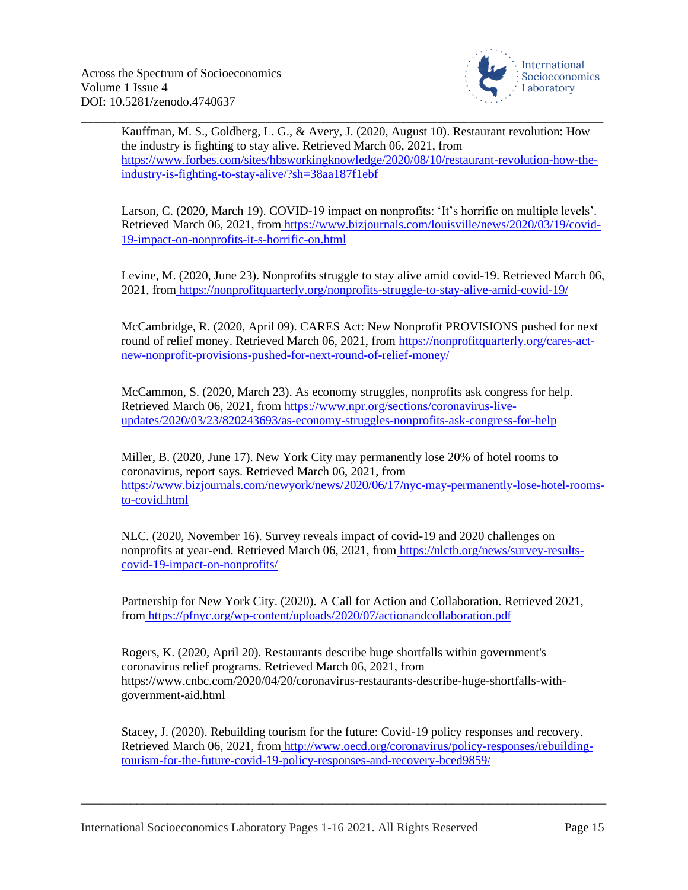

\_\_\_\_\_\_\_\_\_\_\_\_\_\_\_\_\_\_\_\_\_\_\_\_\_\_\_\_\_\_\_\_\_\_\_\_\_\_\_\_\_\_\_\_\_\_\_\_\_\_\_\_\_\_\_\_\_\_\_\_\_\_\_\_\_\_\_\_\_\_\_\_\_\_\_\_\_\_\_\_\_\_\_\_\_ Kauffman, M. S., Goldberg, L. G., & Avery, J. (2020, August 10). Restaurant revolution: How the industry is fighting to stay alive. Retrieved March 06, 2021, fro[m](https://www.forbes.com/sites/hbsworkingknowledge/2020/08/10/restaurant-revolution-how-the-industry-is-fighting-to-stay-alive/?sh=38aa187f1ebf) [https://www.forbes.com/sites/hbsworkingknowledge/2020/08/10/restaurant-revolution-how-the](https://www.forbes.com/sites/hbsworkingknowledge/2020/08/10/restaurant-revolution-how-the-industry-is-fighting-to-stay-alive/?sh=38aa187f1ebf)[industry-is-fighting-to-stay-alive/?sh=38aa187f1ebf](https://www.forbes.com/sites/hbsworkingknowledge/2020/08/10/restaurant-revolution-how-the-industry-is-fighting-to-stay-alive/?sh=38aa187f1ebf)

Larson, C. (2020, March 19). COVID-19 impact on nonprofits: 'It's horrific on multiple levels'. Retrieved March 06, 2021, from [https://www.bizjournals.com/louisville/news/2020/03/19/covid-](https://www.bizjournals.com/louisville/news/2020/03/19/covid-19-impact-on-nonprofits-it-s-horrific-on.html)[19-impact-on-nonprofits-it-s-horrific-on.html](https://www.bizjournals.com/louisville/news/2020/03/19/covid-19-impact-on-nonprofits-it-s-horrific-on.html)

Levine, M. (2020, June 23). Nonprofits struggle to stay alive amid covid-19. Retrieved March 06, 2021, from <https://nonprofitquarterly.org/nonprofits-struggle-to-stay-alive-amid-covid-19/>

McCambridge, R. (2020, April 09). CARES Act: New Nonprofit PROVISIONS pushed for next round of relief money. Retrieved March 06, 2021, from [https://nonprofitquarterly.org/cares-act](https://nonprofitquarterly.org/cares-act-new-nonprofit-provisions-pushed-for-next-round-of-relief-money/)[new-nonprofit-provisions-pushed-for-next-round-of-relief-money/](https://nonprofitquarterly.org/cares-act-new-nonprofit-provisions-pushed-for-next-round-of-relief-money/)

McCammon, S. (2020, March 23). As economy struggles, nonprofits ask congress for help. Retrieved March 06, 2021, from [https://www.npr.org/sections/coronavirus-live](https://www.npr.org/sections/coronavirus-live-updates/2020/03/23/820243693/as-economy-struggles-nonprofits-ask-congress-for-help)[updates/2020/03/23/820243693/as-economy-struggles-nonprofits-ask-congress-for-help](https://www.npr.org/sections/coronavirus-live-updates/2020/03/23/820243693/as-economy-struggles-nonprofits-ask-congress-for-help)

Miller, B. (2020, June 17). New York City may permanently lose 20% of hotel rooms to coronavirus, report says. Retrieved March 06, 2021, fro[m](https://www.bizjournals.com/newyork/news/2020/06/17/nyc-may-permanently-lose-hotel-rooms-to-covid.html) [https://www.bizjournals.com/newyork/news/2020/06/17/nyc-may-permanently-lose-hotel-rooms](https://www.bizjournals.com/newyork/news/2020/06/17/nyc-may-permanently-lose-hotel-rooms-to-covid.html)[to-covid.html](https://www.bizjournals.com/newyork/news/2020/06/17/nyc-may-permanently-lose-hotel-rooms-to-covid.html)

NLC. (2020, November 16). Survey reveals impact of covid-19 and 2020 challenges on nonprofits at year-end. Retrieved March 06, 2021, from [https://nlctb.org/news/survey-results](https://nlctb.org/news/survey-results-covid-19-impact-on-nonprofits/)[covid-19-impact-on-nonprofits/](https://nlctb.org/news/survey-results-covid-19-impact-on-nonprofits/)

Partnership for New York City. (2020). A Call for Action and Collaboration. Retrieved 2021, from <https://pfnyc.org/wp-content/uploads/2020/07/actionandcollaboration.pdf>

Rogers, K. (2020, April 20). Restaurants describe huge shortfalls within government's coronavirus relief programs. Retrieved March 06, 2021, from https://www.cnbc.com/2020/04/20/coronavirus-restaurants-describe-huge-shortfalls-withgovernment-aid.html

Stacey, J. (2020). Rebuilding tourism for the future: Covid-19 policy responses and recovery. Retrieved March 06, 2021, from [http://www.oecd.org/coronavirus/policy-responses/rebuilding](http://www.oecd.org/coronavirus/policy-responses/rebuilding-tourism-for-the-future-covid-19-policy-responses-and-recovery-bced9859/)[tourism-for-the-future-covid-19-policy-responses-and-recovery-bced9859/](http://www.oecd.org/coronavirus/policy-responses/rebuilding-tourism-for-the-future-covid-19-policy-responses-and-recovery-bced9859/)